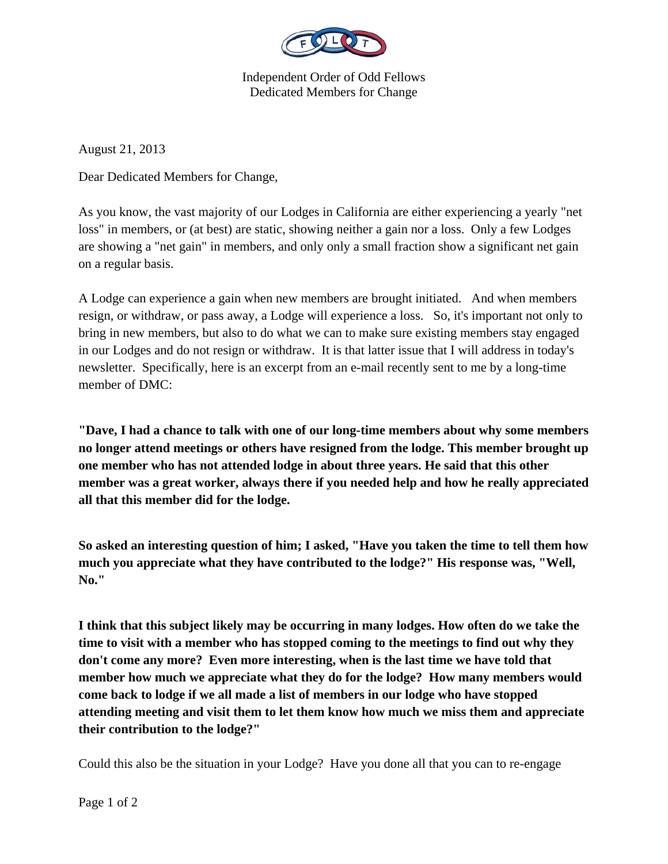

Independent Order of Odd Fellows Dedicated Members for Change

August 21, 2013

Dear Dedicated Members for Change,

As you know, the vast majority of our Lodges in California are either experiencing a yearly "net loss" in members, or (at best) are static, showing neither a gain nor a loss. Only a few Lodges are showing a "net gain" in members, and only only a small fraction show a significant net gain on a regular basis.

A Lodge can experience a gain when new members are brought initiated. And when members resign, or withdraw, or pass away, a Lodge will experience a loss. So, it's important not only to bring in new members, but also to do what we can to make sure existing members stay engaged in our Lodges and do not resign or withdraw. It is that latter issue that I will address in today's newsletter. Specifically, here is an excerpt from an e-mail recently sent to me by a long-time member of DMC:

**"Dave, I had a chance to talk with one of our long-time members about why some members no longer attend meetings or others have resigned from the lodge. This member brought up one member who has not attended lodge in about three years. He said that this other member was a great worker, always there if you needed help and how he really appreciated all that this member did for the lodge.** 

**So asked an interesting question of him; I asked, "Have you taken the time to tell them how much you appreciate what they have contributed to the lodge?" His response was, "Well, No."** 

**I think that this subject likely may be occurring in many lodges. How often do we take the time to visit with a member who has stopped coming to the meetings to find out why they don't come any more? Even more interesting, when is the last time we have told that member how much we appreciate what they do for the lodge? How many members would come back to lodge if we all made a list of members in our lodge who have stopped attending meeting and visit them to let them know how much we miss them and appreciate their contribution to the lodge?"** 

Could this also be the situation in your Lodge? Have you done all that you can to re-engage